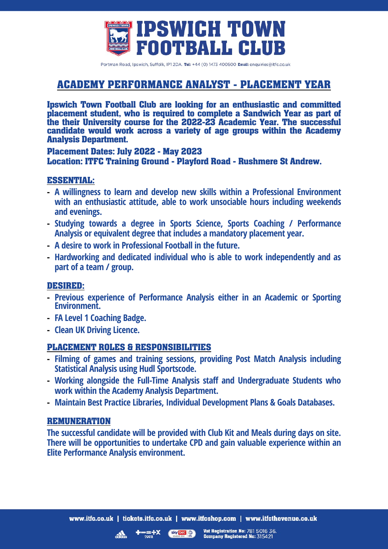

Portman Road, Ipswich, Suffolk, IP1 2DA, Tel: +44 (0) 1473 400500 Email: enquiries@itfc.co.uk

# **ACADEMY PERFORMANCE ANALYST - PLACEMENT YEAR**

**Ipswich Town Football Club are looking for an enthusiastic and committed placement student, who is required to complete a Sandwich Year as part of the their University course for the 2022-23 Academic Year. The successful candidate would work across a variety of age groups within the Academy Analysis Department.**

#### **Placement Dates: July 2022 - May 2023 Location: ITFC Training Ground - Playford Road - Rushmere St Andrew.**

#### **ESSENTIAL:**

- **- A willingness to learn and develop new skills within a Professional Environment with an enthusiastic attitude, able to work unsociable hours including weekends and evenings.**
- **- Studying towards a degree in Sports Science, Sports Coaching / Performance Analysis or equivalent degree that includes a mandatory placement year.**
- **- A desire to work in Professional Football in the future.**
- **- Hardworking and dedicated individual who is able to work independently and as part of a team / group.**

#### **DESIRED:**

- **- Previous experience of Performance Analysis either in an Academic or Sporting Environment.**
- **- FA Level 1 Coaching Badge.**
- **- Clean UK Driving Licence.**

#### **PLACEMENT ROLES & RESPONSIBILITIES**

- **- Filming of games and training sessions, providing Post Match Analysis including Statistical Analysis using Hudl Sportscode.**
- **- Working alongside the Full-Time Analysis staff and Undergraduate Students who work within the Academy Analysis Department.**
- **- Maintain Best Practice Libraries, Individual Development Plans & Goals Databases.**

#### **REMUNERATION**

**The successful candidate will be provided with Club Kit and Meals during days on site. There will be opportunities to undertake CPD and gain valuable experience within an Elite Performance Analysis environment.**